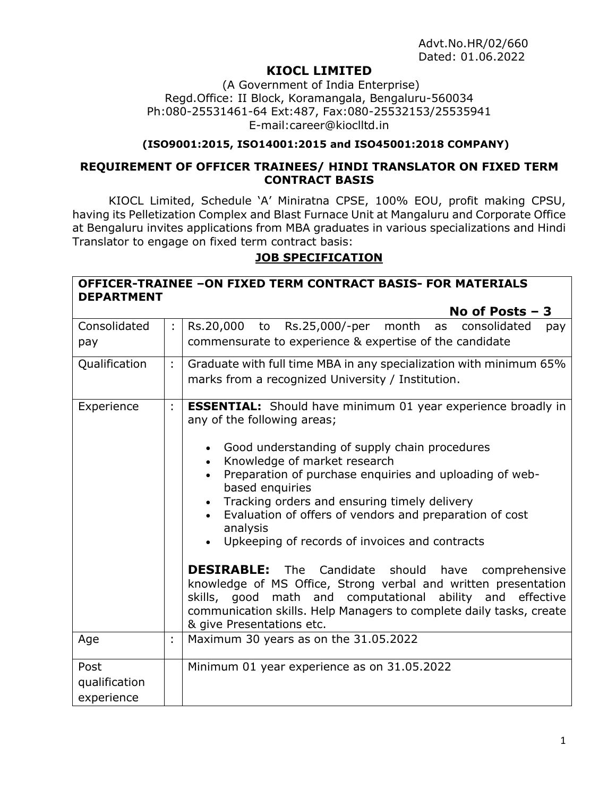# **KIOCL LIMITED**

(A Government of India Enterprise) Regd.Office: II Block, Koramangala, Bengaluru-560034 Ph:080-25531461-64 Ext:487, Fax:080-25532153/25535941 E-mail:career@kioclltd.in

#### **(ISO9001:2015, ISO14001:2015 and ISO45001:2018 COMPANY)**

#### **REQUIREMENT OF OFFICER TRAINEES/ HINDI TRANSLATOR ON FIXED TERM CONTRACT BASIS**

KIOCL Limited, Schedule 'A' Miniratna CPSE, 100% EOU, profit making CPSU, having its Pelletization Complex and Blast Furnace Unit at Mangaluru and Corporate Office at Bengaluru invites applications from MBA graduates in various specializations and Hindi Translator to engage on fixed term contract basis:

#### **JOB SPECIFICATION**

| <b>OFFICER-TRAINEE -ON FIXED TERM CONTRACT BASIS- FOR MATERIALS</b> |
|---------------------------------------------------------------------|
| <b>DEPARTMENT</b>                                                   |
| No of Posts $-3$                                                    |

| Consolidated                        | ÷. | Rs.20,000 to Rs.25,000/-per month as consolidated<br>pay                                                                                                                                                                                                                                                                                                                                                                                                                                                                                                                                                                                                                                                                                                                                       |  |  |  |  |
|-------------------------------------|----|------------------------------------------------------------------------------------------------------------------------------------------------------------------------------------------------------------------------------------------------------------------------------------------------------------------------------------------------------------------------------------------------------------------------------------------------------------------------------------------------------------------------------------------------------------------------------------------------------------------------------------------------------------------------------------------------------------------------------------------------------------------------------------------------|--|--|--|--|
| pay                                 |    | commensurate to experience & expertise of the candidate                                                                                                                                                                                                                                                                                                                                                                                                                                                                                                                                                                                                                                                                                                                                        |  |  |  |  |
| Qualification                       | ÷. | Graduate with full time MBA in any specialization with minimum 65%<br>marks from a recognized University / Institution.                                                                                                                                                                                                                                                                                                                                                                                                                                                                                                                                                                                                                                                                        |  |  |  |  |
| Experience                          | ÷. | <b>ESSENTIAL:</b> Should have minimum 01 year experience broadly in<br>any of the following areas;<br>Good understanding of supply chain procedures<br>$\bullet$<br>Knowledge of market research<br>$\bullet$<br>Preparation of purchase enquiries and uploading of web-<br>$\bullet$<br>based enquiries<br>Tracking orders and ensuring timely delivery<br>$\bullet$<br>Evaluation of offers of vendors and preparation of cost<br>analysis<br>Upkeeping of records of invoices and contracts<br><b>DESIRABLE:</b> The Candidate should have comprehensive<br>knowledge of MS Office, Strong verbal and written presentation<br>skills, good math and computational ability and effective<br>communication skills. Help Managers to complete daily tasks, create<br>& give Presentations etc. |  |  |  |  |
| Age                                 | t. | Maximum 30 years as on the 31.05.2022                                                                                                                                                                                                                                                                                                                                                                                                                                                                                                                                                                                                                                                                                                                                                          |  |  |  |  |
| Post<br>qualification<br>experience |    | Minimum 01 year experience as on 31.05.2022                                                                                                                                                                                                                                                                                                                                                                                                                                                                                                                                                                                                                                                                                                                                                    |  |  |  |  |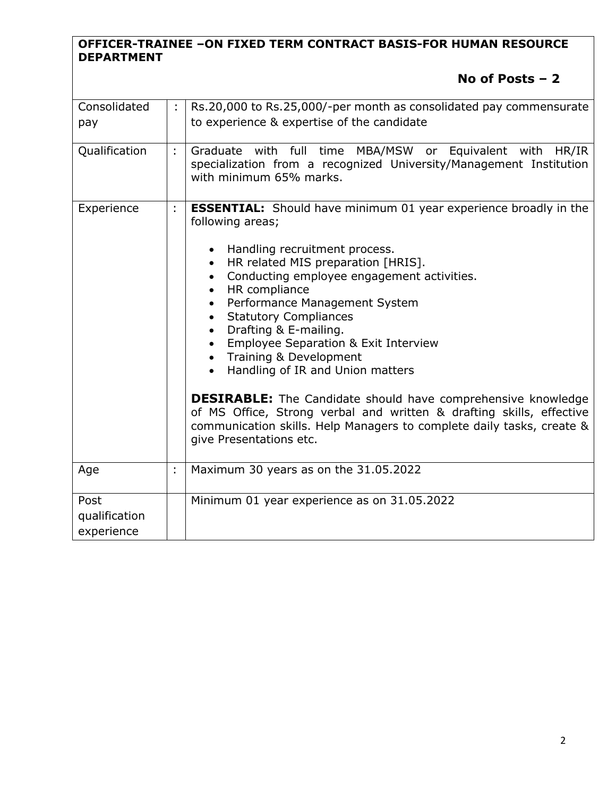### **OFFICER-TRAINEE –ON FIXED TERM CONTRACT BASIS-FOR HUMAN RESOURCE DEPARTMENT**

# **No of Posts – 2**

| Consolidated<br>pay                 |   | Rs.20,000 to Rs.25,000/-per month as consolidated pay commensurate<br>to experience & expertise of the candidate                                                                                                                                                                                                                                                                                                                                                                                                                                                                                                                                                                                                          |  |  |  |
|-------------------------------------|---|---------------------------------------------------------------------------------------------------------------------------------------------------------------------------------------------------------------------------------------------------------------------------------------------------------------------------------------------------------------------------------------------------------------------------------------------------------------------------------------------------------------------------------------------------------------------------------------------------------------------------------------------------------------------------------------------------------------------------|--|--|--|
| Qualification                       | ÷ | Graduate with full time MBA/MSW or Equivalent with<br>HR/IR<br>specialization from a recognized University/Management Institution<br>with minimum 65% marks.                                                                                                                                                                                                                                                                                                                                                                                                                                                                                                                                                              |  |  |  |
| Experience                          | t | <b>ESSENTIAL:</b> Should have minimum 01 year experience broadly in the<br>following areas;<br>Handling recruitment process.<br>HR related MIS preparation [HRIS].<br>$\bullet$<br>Conducting employee engagement activities.<br>HR compliance<br>$\bullet$<br>Performance Management System<br><b>Statutory Compliances</b><br>Drafting & E-mailing.<br><b>Employee Separation &amp; Exit Interview</b><br>Training & Development<br>Handling of IR and Union matters<br><b>DESIRABLE:</b> The Candidate should have comprehensive knowledge<br>of MS Office, Strong verbal and written & drafting skills, effective<br>communication skills. Help Managers to complete daily tasks, create &<br>give Presentations etc. |  |  |  |
| Age                                 | t | Maximum 30 years as on the 31.05.2022                                                                                                                                                                                                                                                                                                                                                                                                                                                                                                                                                                                                                                                                                     |  |  |  |
| Post<br>qualification<br>experience |   | Minimum 01 year experience as on 31.05.2022                                                                                                                                                                                                                                                                                                                                                                                                                                                                                                                                                                                                                                                                               |  |  |  |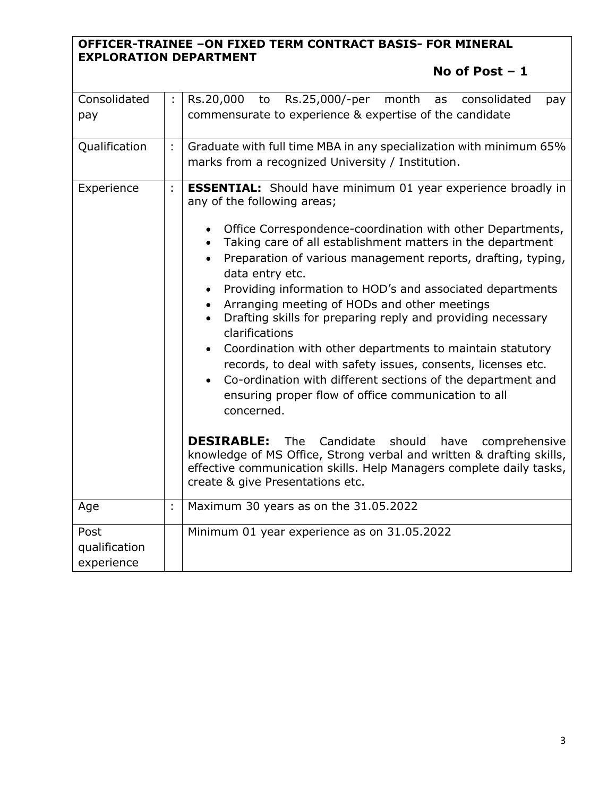## **OFFICER-TRAINEE –ON FIXED TERM CONTRACT BASIS- FOR MINERAL EXPLORATION DEPARTMENT**

# **No of Post – 1**

| Consolidated<br>pay                 | ÷  | Rs.20,000<br>Rs.25,000/-per<br>month<br>consolidated<br>to<br>as<br>pay<br>commensurate to experience & expertise of the candidate                                                                                                                                                                                                                                                                                                                                                                                                                                                                                                                                                                                                                                                                                                                                                                                                                                                                                                                                                            |  |  |  |  |
|-------------------------------------|----|-----------------------------------------------------------------------------------------------------------------------------------------------------------------------------------------------------------------------------------------------------------------------------------------------------------------------------------------------------------------------------------------------------------------------------------------------------------------------------------------------------------------------------------------------------------------------------------------------------------------------------------------------------------------------------------------------------------------------------------------------------------------------------------------------------------------------------------------------------------------------------------------------------------------------------------------------------------------------------------------------------------------------------------------------------------------------------------------------|--|--|--|--|
| Qualification                       | ÷  | Graduate with full time MBA in any specialization with minimum 65%<br>marks from a recognized University / Institution.                                                                                                                                                                                                                                                                                                                                                                                                                                                                                                                                                                                                                                                                                                                                                                                                                                                                                                                                                                       |  |  |  |  |
| Experience                          | ÷. | <b>ESSENTIAL:</b> Should have minimum 01 year experience broadly in<br>any of the following areas;<br>Office Correspondence-coordination with other Departments,<br>$\bullet$<br>Taking care of all establishment matters in the department<br>$\bullet$<br>Preparation of various management reports, drafting, typing,<br>data entry etc.<br>Providing information to HOD's and associated departments<br>$\bullet$<br>Arranging meeting of HODs and other meetings<br>Drafting skills for preparing reply and providing necessary<br>clarifications<br>Coordination with other departments to maintain statutory<br>records, to deal with safety issues, consents, licenses etc.<br>Co-ordination with different sections of the department and<br>$\bullet$<br>ensuring proper flow of office communication to all<br>concerned.<br><b>DESIRABLE:</b> The Candidate<br>should<br>have<br>comprehensive<br>knowledge of MS Office, Strong verbal and written & drafting skills,<br>effective communication skills. Help Managers complete daily tasks,<br>create & give Presentations etc. |  |  |  |  |
| Age                                 | ÷  | Maximum 30 years as on the 31.05.2022                                                                                                                                                                                                                                                                                                                                                                                                                                                                                                                                                                                                                                                                                                                                                                                                                                                                                                                                                                                                                                                         |  |  |  |  |
| Post<br>qualification<br>experience |    | Minimum 01 year experience as on 31.05.2022                                                                                                                                                                                                                                                                                                                                                                                                                                                                                                                                                                                                                                                                                                                                                                                                                                                                                                                                                                                                                                                   |  |  |  |  |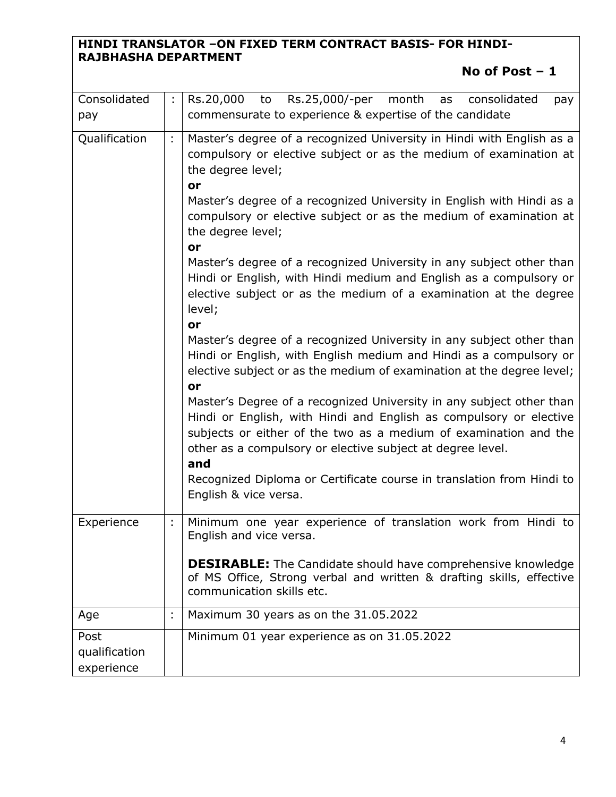## **HINDI TRANSLATOR –ON FIXED TERM CONTRACT BASIS- FOR HINDI-RAJBHASHA DEPARTMENT**

# **No of Post – 1**

| Consolidated<br>pay                 | ÷  | Rs.20,000<br>Rs.25,000/-per<br>month<br>to<br>consolidated<br>as<br>pay<br>commensurate to experience & expertise of the candidate                                                                                                                                                                                                                                                                                                                                                                                                                                                                                                                                                                                                                                                                                                                                                                                                                                                                                                                                                                                                                                            |  |  |  |
|-------------------------------------|----|-------------------------------------------------------------------------------------------------------------------------------------------------------------------------------------------------------------------------------------------------------------------------------------------------------------------------------------------------------------------------------------------------------------------------------------------------------------------------------------------------------------------------------------------------------------------------------------------------------------------------------------------------------------------------------------------------------------------------------------------------------------------------------------------------------------------------------------------------------------------------------------------------------------------------------------------------------------------------------------------------------------------------------------------------------------------------------------------------------------------------------------------------------------------------------|--|--|--|
| Qualification                       | ÷, | Master's degree of a recognized University in Hindi with English as a<br>compulsory or elective subject or as the medium of examination at<br>the degree level;<br>or<br>Master's degree of a recognized University in English with Hindi as a<br>compulsory or elective subject or as the medium of examination at<br>the degree level;<br>or<br>Master's degree of a recognized University in any subject other than<br>Hindi or English, with Hindi medium and English as a compulsory or<br>elective subject or as the medium of a examination at the degree<br>level;<br>or<br>Master's degree of a recognized University in any subject other than<br>Hindi or English, with English medium and Hindi as a compulsory or<br>elective subject or as the medium of examination at the degree level;<br>or<br>Master's Degree of a recognized University in any subject other than<br>Hindi or English, with Hindi and English as compulsory or elective<br>subjects or either of the two as a medium of examination and the<br>other as a compulsory or elective subject at degree level.<br>and<br>Recognized Diploma or Certificate course in translation from Hindi to |  |  |  |
| Experience                          |    | Minimum one year experience of translation work from Hindi to<br>English and vice versa.<br><b>DESIRABLE:</b> The Candidate should have comprehensive knowledge<br>of MS Office, Strong verbal and written & drafting skills, effective<br>communication skills etc.                                                                                                                                                                                                                                                                                                                                                                                                                                                                                                                                                                                                                                                                                                                                                                                                                                                                                                          |  |  |  |
| Age                                 |    | Maximum 30 years as on the 31.05.2022                                                                                                                                                                                                                                                                                                                                                                                                                                                                                                                                                                                                                                                                                                                                                                                                                                                                                                                                                                                                                                                                                                                                         |  |  |  |
| Post<br>qualification<br>experience |    | Minimum 01 year experience as on 31.05.2022                                                                                                                                                                                                                                                                                                                                                                                                                                                                                                                                                                                                                                                                                                                                                                                                                                                                                                                                                                                                                                                                                                                                   |  |  |  |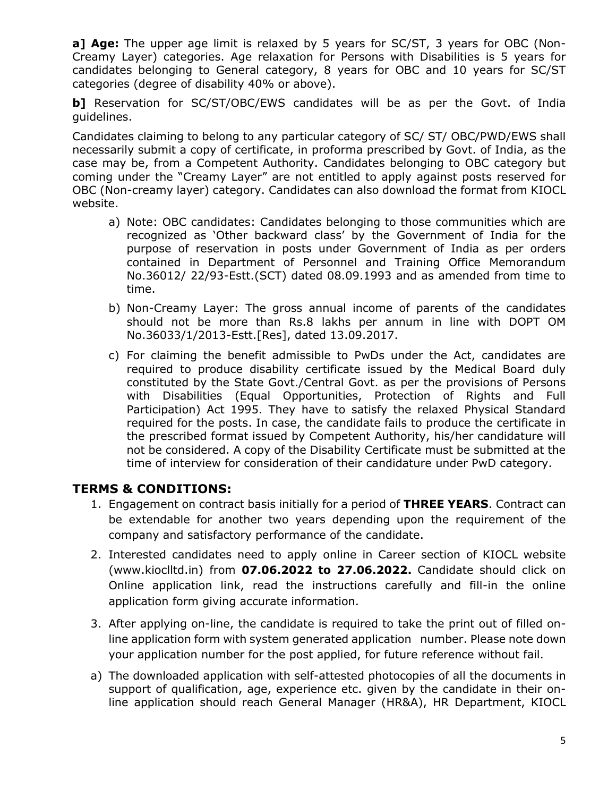**a] Age:** The upper age limit is relaxed by 5 years for SC/ST, 3 years for OBC (Non-Creamy Layer) categories. Age relaxation for Persons with Disabilities is 5 years for candidates belonging to General category, 8 years for OBC and 10 years for SC/ST categories (degree of disability 40% or above).

**b**] Reservation for SC/ST/OBC/EWS candidates will be as per the Govt. of India guidelines.

Candidates claiming to belong to any particular category of SC/ ST/ OBC/PWD/EWS shall necessarily submit a copy of certificate, in proforma prescribed by Govt. of India, as the case may be, from a Competent Authority. Candidates belonging to OBC category but coming under the "Creamy Layer" are not entitled to apply against posts reserved for OBC (Non-creamy layer) category. Candidates can also download the format from KIOCL website.

- a) Note: OBC candidates: Candidates belonging to those communities which are recognized as 'Other backward class' by the Government of India for the purpose of reservation in posts under Government of India as per orders contained in Department of Personnel and Training Office Memorandum No.36012/ 22/93-Estt.(SCT) dated 08.09.1993 and as amended from time to time.
- b) Non-Creamy Layer: The gross annual income of parents of the candidates should not be more than Rs.8 lakhs per annum in line with DOPT OM No.36033/1/2013-Estt.[Res], dated 13.09.2017.
- c) For claiming the benefit admissible to PwDs under the Act, candidates are required to produce disability certificate issued by the Medical Board duly constituted by the State Govt./Central Govt. as per the provisions of Persons with Disabilities (Equal Opportunities, Protection of Rights and Full Participation) Act 1995. They have to satisfy the relaxed Physical Standard required for the posts. In case, the candidate fails to produce the certificate in the prescribed format issued by Competent Authority, his/her candidature will not be considered. A copy of the Disability Certificate must be submitted at the time of interview for consideration of their candidature under PwD category.

### **TERMS & CONDITIONS:**

- 1. Engagement on contract basis initially for a period of **THREE YEARS**. Contract can be extendable for another two years depending upon the requirement of the company and satisfactory performance of the candidate.
- 2. Interested candidates need to apply online in Career section of KIOCL website [\(www.kioclltd.in\)](http://www.kioclltd.in/) from **07.06.2022 to 27.06.2022.** Candidate should click on Online application link, read the instructions carefully and fill-in the online application form giving accurate information.
- 3. After applying on-line, the candidate is required to take the print out of filled online application form with system generated application number. Please note down your application number for the post applied, for future reference without fail.
- a) The downloaded application with self-attested photocopies of all the documents in support of qualification, age, experience etc. given by the candidate in their online application should reach General Manager (HR&A), HR Department, KIOCL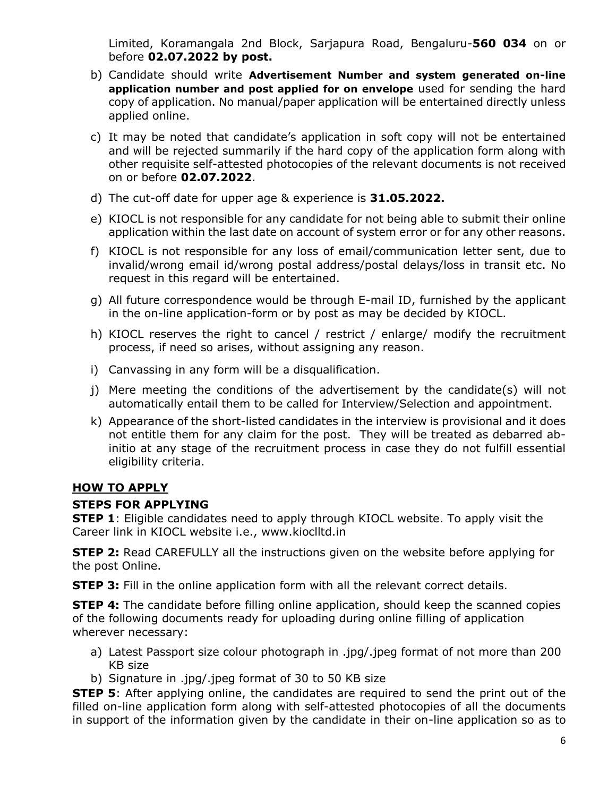Limited, Koramangala 2nd Block, Sarjapura Road, Bengaluru-**560 034** on or before **02.07.2022 by post.**

- b) Candidate should write **Advertisement Number and system generated on-line application number and post applied for on envelope** used for sending the hard copy of application. No manual/paper application will be entertained directly unless applied online.
- c) It may be noted that candidate's application in soft copy will not be entertained and will be rejected summarily if the hard copy of the application form along with other requisite self-attested photocopies of the relevant documents is not received on or before **02.07.2022**.
- d) The cut-off date for upper age & experience is **31.05.2022.**
- e) KIOCL is not responsible for any candidate for not being able to submit their online application within the last date on account of system error or for any other reasons.
- f) KIOCL is not responsible for any loss of email/communication letter sent, due to invalid/wrong email id/wrong postal address/postal delays/loss in transit etc. No request in this regard will be entertained.
- g) All future correspondence would be through E-mail ID, furnished by the applicant in the on-line application-form or by post as may be decided by KIOCL.
- h) KIOCL reserves the right to cancel / restrict / enlarge/ modify the recruitment process, if need so arises, without assigning any reason.
- i) Canvassing in any form will be a disqualification.
- j) Mere meeting the conditions of the advertisement by the candidate(s) will not automatically entail them to be called for Interview/Selection and appointment.
- k) Appearance of the short-listed candidates in the interview is provisional and it does not entitle them for any claim for the post. They will be treated as debarred abinitio at any stage of the recruitment process in case they do not fulfill essential eligibility criteria.

### **HOW TO APPLY**

#### **STEPS FOR APPLYING**

**STEP 1**: Eligible candidates need to apply through KIOCL website. To apply visit the Career link in KIOCL website i.e., www.kioclltd.in

**STEP 2:** Read CAREFULLY all the instructions given on the website before applying for the post Online.

**STEP 3:** Fill in the online application form with all the relevant correct details.

**STEP 4:** The candidate before filling online application, should keep the scanned copies of the following documents ready for uploading during online filling of application wherever necessary:

- a) Latest Passport size colour photograph in .jpg/.jpeg format of not more than 200 KB size
- b) Signature in .jpg/.jpeg format of 30 to 50 KB size

**STEP 5**: After applying online, the candidates are required to send the print out of the filled on-line application form along with self-attested photocopies of all the documents in support of the information given by the candidate in their on-line application so as to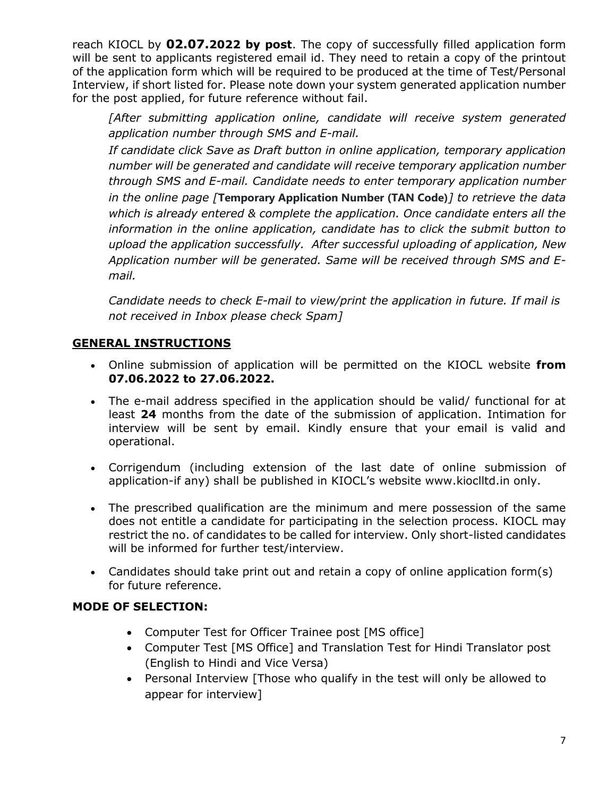reach KIOCL by **02.07.2022 by post**. The copy of successfully filled application form will be sent to applicants registered email id. They need to retain a copy of the printout of the application form which will be required to be produced at the time of Test/Personal Interview, if short listed for. Please note down your system generated application number for the post applied, for future reference without fail.

*[After submitting application online, candidate will receive system generated application number through SMS and E-mail.* 

*If candidate click Save as Draft button in online application, temporary application number will be generated and candidate will receive temporary application number through SMS and E-mail. Candidate needs to enter temporary application number in the online page [***Temporary Application Number (TAN Code)***] to retrieve the data which is already entered & complete the application. Once candidate enters all the information in the online application, candidate has to click the submit button to upload the application successfully. After successful uploading of application, New Application number will be generated. Same will be received through SMS and Email.*

*Candidate needs to check E-mail to view/print the application in future. If mail is not received in Inbox please check Spam]* 

### **GENERAL INSTRUCTIONS**

- Online submission of application will be permitted on the KIOCL website **from 07.06.2022 to 27.06.2022.**
- The e-mail address specified in the application should be valid/ functional for at least **24** months from the date of the submission of application. Intimation for interview will be sent by email. Kindly ensure that your email is valid and operational.
- Corrigendum (including extension of the last date of online submission of application-if any) shall be published in KIOCL's website www.kioclltd.in only.
- The prescribed qualification are the minimum and mere possession of the same does not entitle a candidate for participating in the selection process. KIOCL may restrict the no. of candidates to be called for interview. Only short-listed candidates will be informed for further test/interview.
- Candidates should take print out and retain a copy of online application form(s) for future reference.

### **MODE OF SELECTION:**

- Computer Test for Officer Trainee post [MS office]
- Computer Test [MS Office] and Translation Test for Hindi Translator post (English to Hindi and Vice Versa)
- Personal Interview [Those who qualify in the test will only be allowed to appear for interview]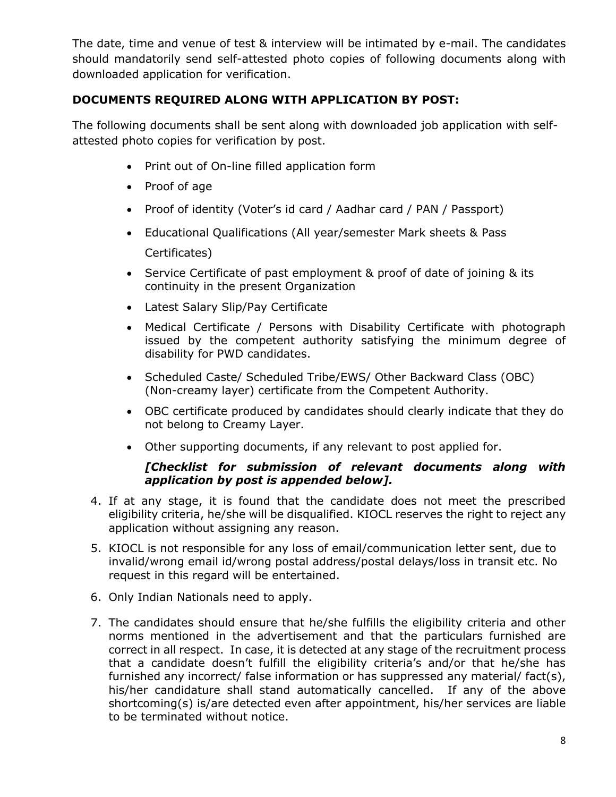The date, time and venue of test & interview will be intimated by e-mail. The candidates should mandatorily send self-attested photo copies of following documents along with downloaded application for verification.

### **DOCUMENTS REQUIRED ALONG WITH APPLICATION BY POST:**

The following documents shall be sent along with downloaded job application with selfattested photo copies for verification by post.

- Print out of On-line filled application form
- Proof of age
- Proof of identity (Voter's id card / Aadhar card / PAN / Passport)
- Educational Qualifications (All year/semester Mark sheets & Pass Certificates)
- Service Certificate of past employment & proof of date of joining & its continuity in the present Organization
- Latest Salary Slip/Pay Certificate
- Medical Certificate / Persons with Disability Certificate with photograph issued by the competent authority satisfying the minimum degree of disability for PWD candidates.
- Scheduled Caste/ Scheduled Tribe/EWS/ Other Backward Class (OBC) (Non-creamy layer) certificate from the Competent Authority.
- OBC certificate produced by candidates should clearly indicate that they do not belong to Creamy Layer.
- Other supporting documents, if any relevant to post applied for.

#### *[Checklist for submission of relevant documents along with application by post is appended below].*

- 4. If at any stage, it is found that the candidate does not meet the prescribed eligibility criteria, he/she will be disqualified. KIOCL reserves the right to reject any application without assigning any reason.
- 5. KIOCL is not responsible for any loss of email/communication letter sent, due to invalid/wrong email id/wrong postal address/postal delays/loss in transit etc. No request in this regard will be entertained.
- 6. Only Indian Nationals need to apply.
- 7. The candidates should ensure that he/she fulfills the eligibility criteria and other norms mentioned in the advertisement and that the particulars furnished are correct in all respect. In case, it is detected at any stage of the recruitment process that a candidate doesn't fulfill the eligibility criteria's and/or that he/she has furnished any incorrect/ false information or has suppressed any material/ fact(s), his/her candidature shall stand automatically cancelled. If any of the above shortcoming(s) is/are detected even after appointment, his/her services are liable to be terminated without notice.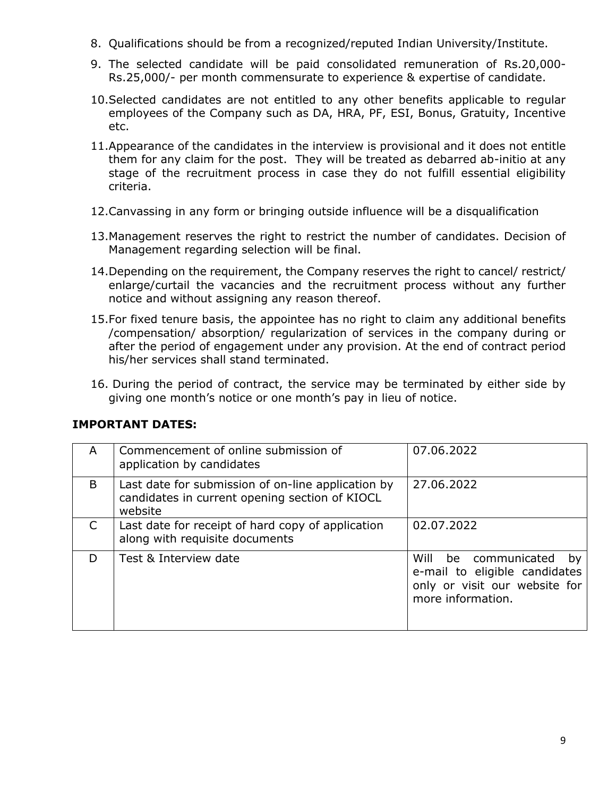- 8. Qualifications should be from a recognized/reputed Indian University/Institute.
- 9. The selected candidate will be paid consolidated remuneration of Rs.20,000- Rs.25,000/- per month commensurate to experience & expertise of candidate.
- 10.Selected candidates are not entitled to any other benefits applicable to regular employees of the Company such as DA, HRA, PF, ESI, Bonus, Gratuity, Incentive etc.
- 11.Appearance of the candidates in the interview is provisional and it does not entitle them for any claim for the post. They will be treated as debarred ab-initio at any stage of the recruitment process in case they do not fulfill essential eligibility criteria.
- 12.Canvassing in any form or bringing outside influence will be a disqualification
- 13.Management reserves the right to restrict the number of candidates. Decision of Management regarding selection will be final.
- 14.Depending on the requirement, the Company reserves the right to cancel/ restrict/ enlarge/curtail the vacancies and the recruitment process without any further notice and without assigning any reason thereof.
- 15.For fixed tenure basis, the appointee has no right to claim any additional benefits /compensation/ absorption/ regularization of services in the company during or after the period of engagement under any provision. At the end of contract period his/her services shall stand terminated.
- 16. During the period of contract, the service may be terminated by either side by giving one month's notice or one month's pay in lieu of notice.

| A | Commencement of online submission of<br>application by candidates                                               | 07.06.2022                                                                                                        |
|---|-----------------------------------------------------------------------------------------------------------------|-------------------------------------------------------------------------------------------------------------------|
| B | Last date for submission of on-line application by<br>candidates in current opening section of KIOCL<br>website | 27.06.2022                                                                                                        |
|   | Last date for receipt of hard copy of application<br>along with requisite documents                             | 02.07.2022                                                                                                        |
| D | Test & Interview date                                                                                           | Will be communicated<br>bv<br>e-mail to eligible candidates<br>only or visit our website for<br>more information. |

#### **IMPORTANT DATES:**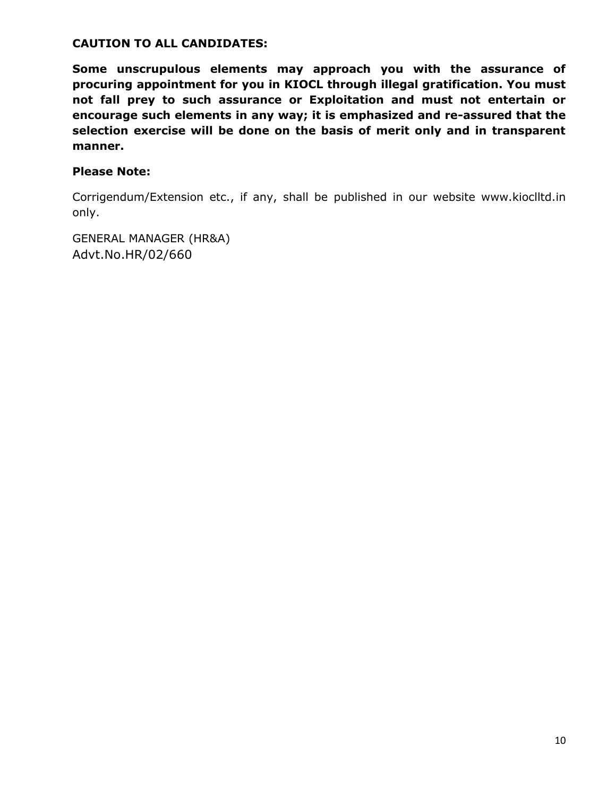#### **CAUTION TO ALL CANDIDATES:**

**Some unscrupulous elements may approach you with the assurance of procuring appointment for you in KIOCL through illegal gratification. You must not fall prey to such assurance or Exploitation and must not entertain or encourage such elements in any way; it is emphasized and re-assured that the selection exercise will be done on the basis of merit only and in transparent manner.** 

### **Please Note:**

Corrigendum/Extension etc., if any, shall be published in our website www.kioclltd.in only.

GENERAL MANAGER (HR&A) Advt.No.HR/02/660